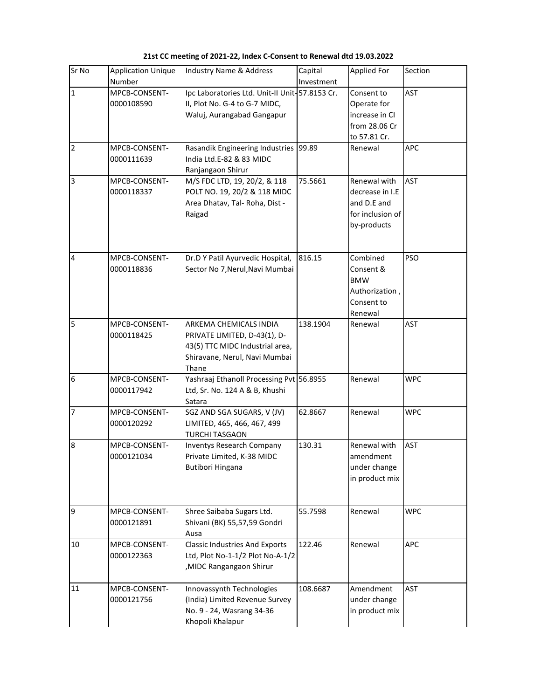| Sr No                   | <b>Application Unique</b><br><b>Number</b> | <b>Industry Name &amp; Address</b>                                                                                                  | Capital<br>Investment | Applied For                                                                       | Section    |
|-------------------------|--------------------------------------------|-------------------------------------------------------------------------------------------------------------------------------------|-----------------------|-----------------------------------------------------------------------------------|------------|
| $\mathbf{1}$            | MPCB-CONSENT-<br>0000108590                | Ipc Laboratories Ltd. Unit-II Unit-57.8153 Cr.<br>II, Plot No. G-4 to G-7 MIDC,<br>Waluj, Aurangabad Gangapur                       |                       | Consent to<br>Operate for<br>increase in CI<br>from 28.06 Cr<br>to 57.81 Cr.      | <b>AST</b> |
| $\overline{\mathbf{c}}$ | MPCB-CONSENT-<br>0000111639                | Rasandik Engineering Industries 99.89<br>India Ltd.E-82 & 83 MIDC<br>Ranjangaon Shirur                                              |                       | Renewal                                                                           | APC        |
| 3                       | MPCB-CONSENT-<br>0000118337                | M/S FDC LTD, 19, 20/2, & 118<br>POLT NO. 19, 20/2 & 118 MIDC<br>Area Dhatav, Tal-Roha, Dist -<br>Raigad                             | 75.5661               | Renewal with<br>decrease in I.E<br>and D.E and<br>for inclusion of<br>by-products | <b>AST</b> |
| 4                       | MPCB-CONSENT-<br>0000118836                | Dr.D Y Patil Ayurvedic Hospital,<br>Sector No 7, Nerul, Navi Mumbai                                                                 | 816.15                | Combined<br>Consent &<br><b>BMW</b><br>Authorization,<br>Consent to<br>Renewal    | <b>PSO</b> |
| 5                       | MPCB-CONSENT-<br>0000118425                | ARKEMA CHEMICALS INDIA<br>PRIVATE LIMITED, D-43(1), D-<br>43(5) TTC MIDC Industrial area,<br>Shiravane, Nerul, Navi Mumbai<br>Thane | 138.1904              | Renewal                                                                           | <b>AST</b> |
| 6                       | MPCB-CONSENT-<br>0000117942                | Yashraaj Ethanoll Processing Pvt 56.8955<br>Ltd, Sr. No. 124 A & B, Khushi<br>Satara                                                |                       | Renewal                                                                           | <b>WPC</b> |
| 7                       | MPCB-CONSENT-<br>0000120292                | SGZ AND SGA SUGARS, V (JV)<br>LIMITED, 465, 466, 467, 499<br>TURCHI TASGAON                                                         | 62.8667               | Renewal                                                                           | <b>WPC</b> |
| 8                       | MPCB-CONSENT-<br>0000121034                | <b>Inventys Research Company</b><br>Private Limited, K-38 MIDC<br>Butibori Hingana                                                  | 130.31                | Renewal with<br>amendment<br>under change<br>in product mix                       | <b>AST</b> |
| 9                       | MPCB-CONSENT-<br>0000121891                | Shree Saibaba Sugars Ltd.<br>Shivani (BK) 55,57,59 Gondri<br>Ausa                                                                   | 55.7598               | Renewal                                                                           | <b>WPC</b> |
| 10                      | MPCB-CONSENT-<br>0000122363                | <b>Classic Industries And Exports</b><br>Ltd, Plot No-1-1/2 Plot No-A-1/2<br><b>MIDC Rangangaon Shirur</b>                          | 122.46                | Renewal                                                                           | APC        |
| 11                      | MPCB-CONSENT-<br>0000121756                | Innovassynth Technologies<br>(India) Limited Revenue Survey<br>No. 9 - 24, Wasrang 34-36<br>Khopoli Khalapur                        | 108.6687              | Amendment<br>under change<br>in product mix                                       | <b>AST</b> |